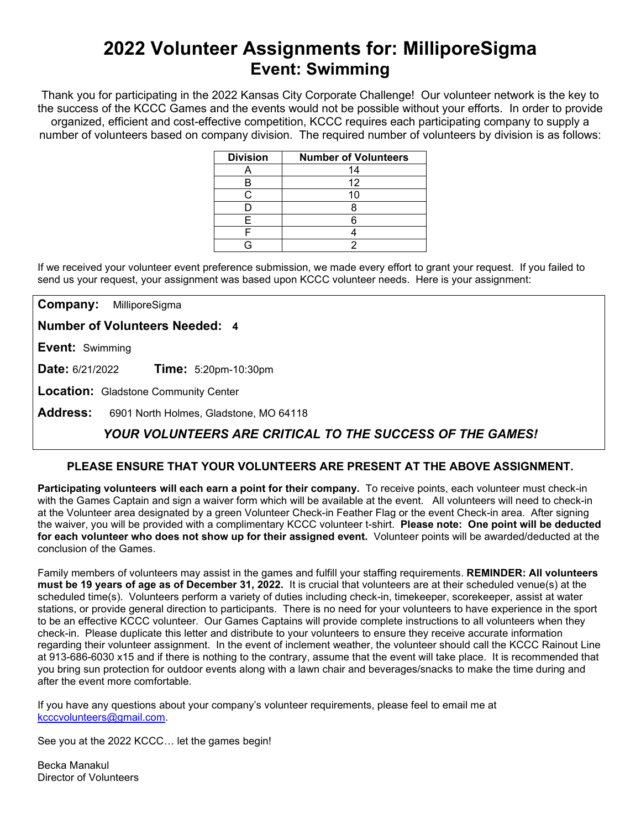# **2022 Volunteer Assignments for: MilliporeSigma Event: Swimming**

Thank you for participating in the 2022 Kansas City Corporate Challenge! Our volunteer network is the key to the success of the KCCC Games and the events would not be possible without your efforts.In order to provide organized, efficient and cost-effective competition, KCCC requires each participating company to supply a number of volunteers based on company division. The required number of volunteers by division is as follows:

| <b>Division</b> | <b>Number of Volunteers</b> |
|-----------------|-----------------------------|
|                 | 14                          |
| В               | 12                          |
|                 |                             |
|                 |                             |
| F               |                             |
|                 |                             |
|                 |                             |

If we received your volunteer event preference submission, we made every effort to grant your request. If you failed to send us your request, your assignment was based upon KCCC volunteer needs. Here is your assignment:

**Company:** MilliporeSigma

**Number of Volunteers Needed: 4**

**Event:** Swimming

**Date:** 6/21/2022 **Time:** 5:20pm-10:30pm

**Location:** Gladstone Community Center

**Address:** 6901 North Holmes, Gladstone, MO 64118

## *YOUR VOLUNTEERS ARE CRITICAL TO THE SUCCESS OF THE GAMES!*

### **PLEASE ENSURE THAT YOUR VOLUNTEERS ARE PRESENT AT THE ABOVE ASSIGNMENT.**

**Participating volunteers will each earn a point for their company.** To receive points, each volunteer must check-in with the Games Captain and sign a waiver form which will be available at the event. All volunteers will need to check-in at the Volunteer area designated by a green Volunteer Check-in Feather Flag or the event Check-in area. After signing the waiver, you will be provided with a complimentary KCCC volunteer t-shirt. **Please note: One point will be deducted for each volunteer who does not show up for their assigned event.** Volunteer points will be awarded/deducted at the conclusion of the Games.

Family members of volunteers may assist in the games and fulfill your staffing requirements. **REMINDER: All volunteers must be 19 years of age as of December 31, 2022.** It is crucial that volunteers are at their scheduled venue(s) at the scheduled time(s). Volunteers perform a variety of duties including check-in, timekeeper, scorekeeper, assist at water stations, or provide general direction to participants. There is no need for your volunteers to have experience in the sport to be an effective KCCC volunteer. Our Games Captains will provide complete instructions to all volunteers when they check-in. Please duplicate this letter and distribute to your volunteers to ensure they receive accurate information regarding their volunteer assignment. In the event of inclement weather, the volunteer should call the KCCC Rainout Line at 913-686-6030 x15 and if there is nothing to the contrary, assume that the event will take place. It is recommended that you bring sun protection for outdoor events along with a lawn chair and beverages/snacks to make the time during and after the event more comfortable.

If you have any questions about your company's volunteer requirements, please feel to email me at [kcccvolunteers@gmail.com.](mailto:kcccvolunteers@gmail.com)

See you at the 2022 KCCC… let the games begin!

Becka Manakul Director of Volunteers